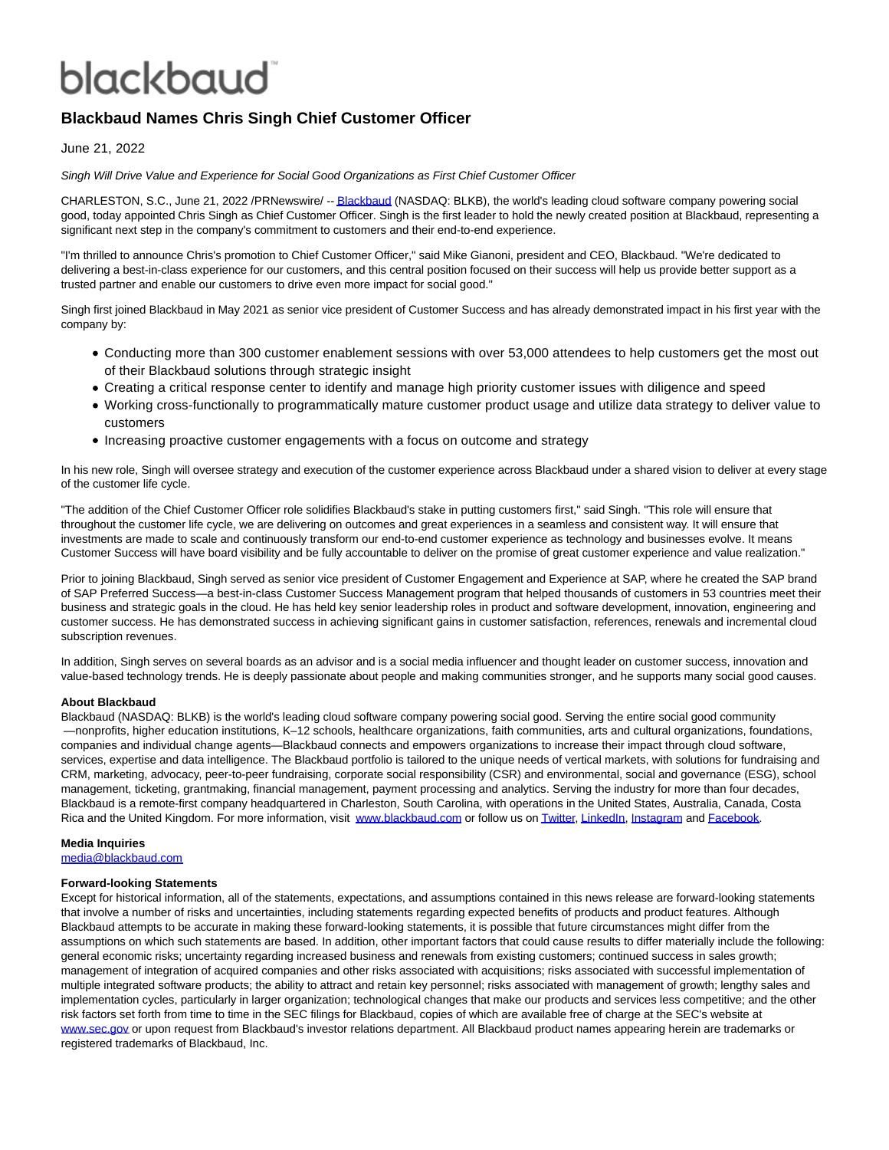## blackbaud

### **Blackbaud Names Chris Singh Chief Customer Officer**

June 21, 2022

Singh Will Drive Value and Experience for Social Good Organizations as First Chief Customer Officer

CHARLESTON, S.C., June 21, 2022 /PRNewswire/ -[- Blackbaud \(](https://c212.net/c/link/?t=0&l=en&o=3573198-1&h=2389017950&u=http%3A%2F%2Fwww.blackbaud.com%2F&a=Blackbaud)NASDAQ: BLKB), the world's leading cloud software company powering social good, today appointed Chris Singh as Chief Customer Officer. Singh is the first leader to hold the newly created position at Blackbaud, representing a significant next step in the company's commitment to customers and their end-to-end experience.

"I'm thrilled to announce Chris's promotion to Chief Customer Officer," said Mike Gianoni, president and CEO, Blackbaud. "We're dedicated to delivering a best-in-class experience for our customers, and this central position focused on their success will help us provide better support as a trusted partner and enable our customers to drive even more impact for social good."

Singh first joined Blackbaud in May 2021 as senior vice president of Customer Success and has already demonstrated impact in his first year with the company by:

- Conducting more than 300 customer enablement sessions with over 53,000 attendees to help customers get the most out of their Blackbaud solutions through strategic insight
- Creating a critical response center to identify and manage high priority customer issues with diligence and speed
- Working cross-functionally to programmatically mature customer product usage and utilize data strategy to deliver value to customers
- Increasing proactive customer engagements with a focus on outcome and strategy

In his new role, Singh will oversee strategy and execution of the customer experience across Blackbaud under a shared vision to deliver at every stage of the customer life cycle.

"The addition of the Chief Customer Officer role solidifies Blackbaud's stake in putting customers first," said Singh. "This role will ensure that throughout the customer life cycle, we are delivering on outcomes and great experiences in a seamless and consistent way. It will ensure that investments are made to scale and continuously transform our end-to-end customer experience as technology and businesses evolve. It means Customer Success will have board visibility and be fully accountable to deliver on the promise of great customer experience and value realization."

Prior to joining Blackbaud, Singh served as senior vice president of Customer Engagement and Experience at SAP, where he created the SAP brand of SAP Preferred Success—a best-in-class Customer Success Management program that helped thousands of customers in 53 countries meet their business and strategic goals in the cloud. He has held key senior leadership roles in product and software development, innovation, engineering and customer success. He has demonstrated success in achieving significant gains in customer satisfaction, references, renewals and incremental cloud subscription revenues.

In addition, Singh serves on several boards as an advisor and is a social media influencer and thought leader on customer success, innovation and value-based technology trends. He is deeply passionate about people and making communities stronger, and he supports many social good causes.

#### **About Blackbaud**

Blackbaud (NASDAQ: BLKB) is the world's leading cloud software company powering social good. Serving the entire social good community —nonprofits, higher education institutions, K–12 schools, healthcare organizations, faith communities, arts and cultural organizations, foundations, companies and individual change agents—Blackbaud connects and empowers organizations to increase their impact through cloud software, services, expertise and data intelligence. The Blackbaud portfolio is tailored to the unique needs of vertical markets, with solutions for fundraising and CRM, marketing, advocacy, peer-to-peer fundraising, corporate social responsibility (CSR) and environmental, social and governance (ESG), school management, ticketing, grantmaking, financial management, payment processing and analytics. Serving the industry for more than four decades, Blackbaud is a remote-first company headquartered in Charleston, South Carolina, with operations in the United States, Australia, Canada, Costa Rica and the United Kingdom. For more information, visit [www.blackbaud.com o](https://c212.net/c/link/?t=0&l=en&o=3573198-1&h=2697341719&u=http%3A%2F%2Fwww.blackbaud.com%2F&a=www.blackbaud.com)r follow us o[n Twitter,](https://c212.net/c/link/?t=0&l=en&o=3573198-1&h=1378613289&u=https%3A%2F%2Ftwitter.com%2Fblackbaud&a=Twitter) [LinkedIn,](https://c212.net/c/link/?t=0&l=en&o=3573198-1&h=607621196&u=https%3A%2F%2Fwww.linkedin.com%2Fcompany%2Fblackbaud%2F&a=LinkedIn) [Instagram a](https://c212.net/c/link/?t=0&l=en&o=3573198-1&h=2964621628&u=https%3A%2F%2Fwww.instagram.com%2Fblackbaud%2F&a=Instagram)nd [Facebook.](https://c212.net/c/link/?t=0&l=en&o=3573198-1&h=3564096740&u=https%3A%2F%2Fwww.facebook.com%2Fblackbaud%2F&a=Facebook)

#### **Media Inquiries**

[media@blackbaud.com](mailto:media@blackbaud.com)

#### **Forward-looking Statements**

Except for historical information, all of the statements, expectations, and assumptions contained in this news release are forward-looking statements that involve a number of risks and uncertainties, including statements regarding expected benefits of products and product features. Although Blackbaud attempts to be accurate in making these forward-looking statements, it is possible that future circumstances might differ from the assumptions on which such statements are based. In addition, other important factors that could cause results to differ materially include the following: general economic risks; uncertainty regarding increased business and renewals from existing customers; continued success in sales growth; management of integration of acquired companies and other risks associated with acquisitions; risks associated with successful implementation of multiple integrated software products; the ability to attract and retain key personnel; risks associated with management of growth; lengthy sales and implementation cycles, particularly in larger organization; technological changes that make our products and services less competitive; and the other risk factors set forth from time to time in the SEC filings for Blackbaud, copies of which are available free of charge at the SEC's website at [www.sec.gov o](http://www.sec.gov/)r upon request from Blackbaud's investor relations department. All Blackbaud product names appearing herein are trademarks or registered trademarks of Blackbaud, Inc.